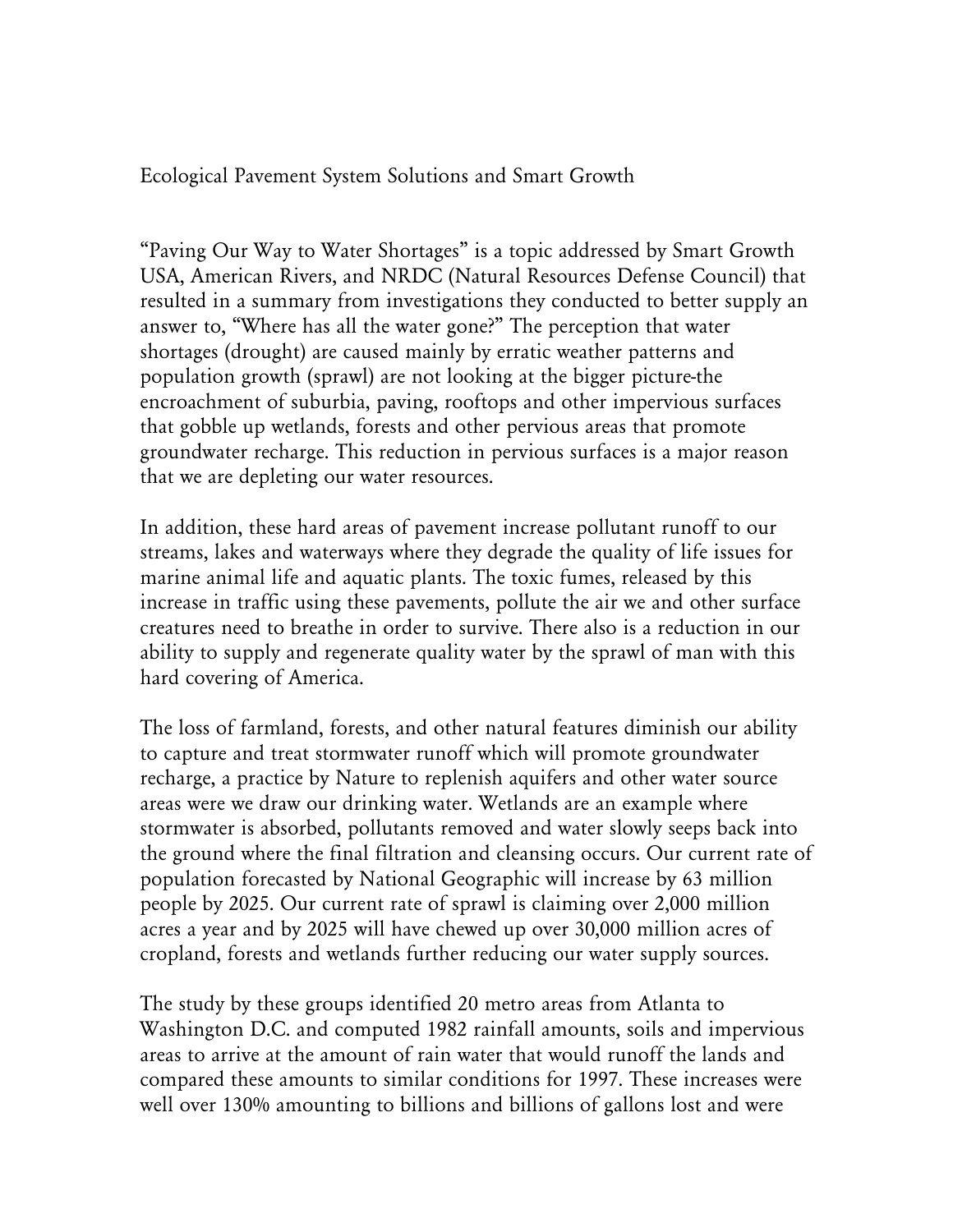Ecological Pavement System Solutions and Smart Growth

"Paving Our Way to Water Shortages" is a topic addressed by Smart Growth USA, American Rivers, and NRDC (Natural Resources Defense Council) that resulted in a summary from investigations they conducted to better supply an answer to, "Where has all the water gone?" The perception that water shortages (drought) are caused mainly by erratic weather patterns and population growth (sprawl) are not looking at the bigger picture-the encroachment of suburbia, paving, rooftops and other impervious surfaces that gobble up wetlands, forests and other pervious areas that promote groundwater recharge. This reduction in pervious surfaces is a major reason that we are depleting our water resources.

In addition, these hard areas of pavement increase pollutant runoff to our streams, lakes and waterways where they degrade the quality of life issues for marine animal life and aquatic plants. The toxic fumes, released by this increase in traffic using these pavements, pollute the air we and other surface creatures need to breathe in order to survive. There also is a reduction in our ability to supply and regenerate quality water by the sprawl of man with this hard covering of America.

The loss of farmland, forests, and other natural features diminish our ability to capture and treat stormwater runoff which will promote groundwater recharge, a practice by Nature to replenish aquifers and other water source areas were we draw our drinking water. Wetlands are an example where stormwater is absorbed, pollutants removed and water slowly seeps back into the ground where the final filtration and cleansing occurs. Our current rate of population forecasted by National Geographic will increase by 63 million people by 2025. Our current rate of sprawl is claiming over 2,000 million acres a year and by 2025 will have chewed up over 30,000 million acres of cropland, forests and wetlands further reducing our water supply sources.

The study by these groups identified 20 metro areas from Atlanta to Washington D.C. and computed 1982 rainfall amounts, soils and impervious areas to arrive at the amount of rain water that would runoff the lands and compared these amounts to similar conditions for 1997. These increases were well over 130% amounting to billions and billions of gallons lost and were